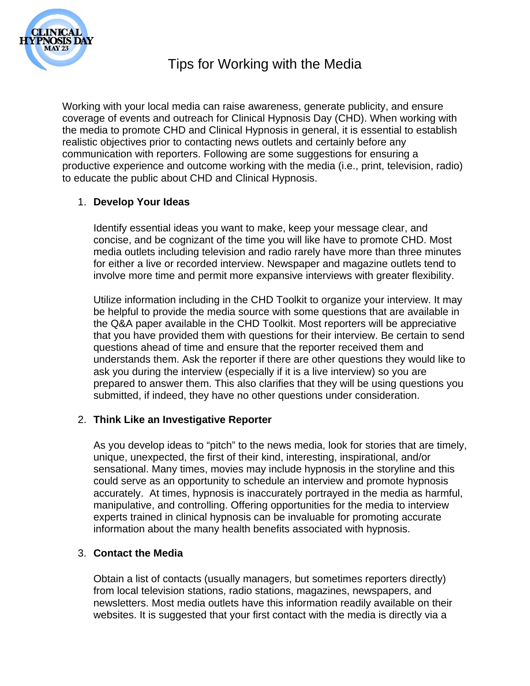

# Tips for Working with the Media

Working with your local media can raise awareness, generate publicity, and ensure coverage of events and outreach for Clinical Hypnosis Day (CHD). When working with the media to promote CHD and Clinical Hypnosis in general, it is essential to establish realistic objectives prior to contacting news outlets and certainly before any communication with reporters. Following are some suggestions for ensuring a productive experience and outcome working with the media (i.e., print, television, radio) to educate the public about CHD and Clinical Hypnosis.

## 1. **Develop Your Ideas**

Identify essential ideas you want to make, keep your message clear, and concise, and be cognizant of the time you will like have to promote CHD. Most media outlets including television and radio rarely have more than three minutes for either a live or recorded interview. Newspaper and magazine outlets tend to involve more time and permit more expansive interviews with greater flexibility.

Utilize information including in the CHD Toolkit to organize your interview. It may be helpful to provide the media source with some questions that are available in the Q&A paper available in the CHD Toolkit. Most reporters will be appreciative that you have provided them with questions for their interview. Be certain to send questions ahead of time and ensure that the reporter received them and understands them. Ask the reporter if there are other questions they would like to ask you during the interview (especially if it is a live interview) so you are prepared to answer them. This also clarifies that they will be using questions you submitted, if indeed, they have no other questions under consideration.

## 2. **Think Like an Investigative Reporter**

As you develop ideas to "pitch" to the news media, look for stories that are timely, unique, unexpected, the first of their kind, interesting, inspirational, and/or sensational. Many times, movies may include hypnosis in the storyline and this could serve as an opportunity to schedule an interview and promote hypnosis accurately. At times, hypnosis is inaccurately portrayed in the media as harmful, manipulative, and controlling. Offering opportunities for the media to interview experts trained in clinical hypnosis can be invaluable for promoting accurate information about the many health benefits associated with hypnosis.

### 3. **Contact the Media**

Obtain a list of contacts (usually managers, but sometimes reporters directly) from local television stations, radio stations, magazines, newspapers, and newsletters. Most media outlets have this information readily available on their websites. It is suggested that your first contact with the media is directly via a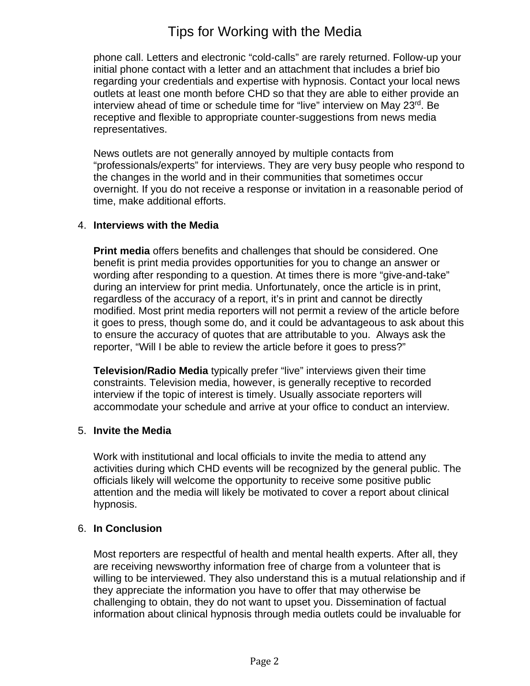## Tips for Working with the Media

phone call. Letters and electronic "cold-calls" are rarely returned. Follow-up your initial phone contact with a letter and an attachment that includes a brief bio regarding your credentials and expertise with hypnosis. Contact your local news outlets at least one month before CHD so that they are able to either provide an interview ahead of time or schedule time for "live" interview on May 23rd. Be receptive and flexible to appropriate counter-suggestions from news media representatives.

News outlets are not generally annoyed by multiple contacts from "professionals/experts" for interviews. They are very busy people who respond to the changes in the world and in their communities that sometimes occur overnight. If you do not receive a response or invitation in a reasonable period of time, make additional efforts.

## 4. **Interviews with the Media**

**Print media** offers benefits and challenges that should be considered. One benefit is print media provides opportunities for you to change an answer or wording after responding to a question. At times there is more "give-and-take" during an interview for print media. Unfortunately, once the article is in print, regardless of the accuracy of a report, it's in print and cannot be directly modified. Most print media reporters will not permit a review of the article before it goes to press, though some do, and it could be advantageous to ask about this to ensure the accuracy of quotes that are attributable to you. Always ask the reporter, "Will I be able to review the article before it goes to press?"

**Television/Radio Media** typically prefer "live" interviews given their time constraints. Television media, however, is generally receptive to recorded interview if the topic of interest is timely. Usually associate reporters will accommodate your schedule and arrive at your office to conduct an interview.

### 5. **Invite the Media**

Work with institutional and local officials to invite the media to attend any activities during which CHD events will be recognized by the general public. The officials likely will welcome the opportunity to receive some positive public attention and the media will likely be motivated to cover a report about clinical hypnosis.

### 6. **In Conclusion**

Most reporters are respectful of health and mental health experts. After all, they are receiving newsworthy information free of charge from a volunteer that is willing to be interviewed. They also understand this is a mutual relationship and if they appreciate the information you have to offer that may otherwise be challenging to obtain, they do not want to upset you. Dissemination of factual information about clinical hypnosis through media outlets could be invaluable for